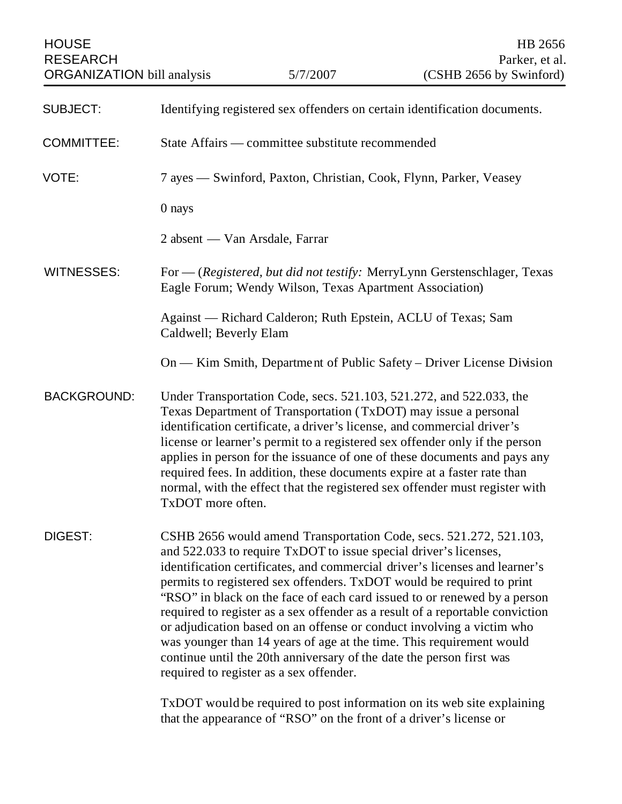| <b>HOUSE</b><br><b>RESEARCH</b><br><b>ORGANIZATION</b> bill analysis |                                                                                                                                                                                                                                                                                                                                                                                                                                                                                                                                                                                                                                                                                                                                 | 5/7/2007 | HB 2656<br>Parker, et al.<br>(CSHB 2656 by Swinford) |
|----------------------------------------------------------------------|---------------------------------------------------------------------------------------------------------------------------------------------------------------------------------------------------------------------------------------------------------------------------------------------------------------------------------------------------------------------------------------------------------------------------------------------------------------------------------------------------------------------------------------------------------------------------------------------------------------------------------------------------------------------------------------------------------------------------------|----------|------------------------------------------------------|
| <b>SUBJECT:</b>                                                      | Identifying registered sex offenders on certain identification documents.                                                                                                                                                                                                                                                                                                                                                                                                                                                                                                                                                                                                                                                       |          |                                                      |
| <b>COMMITTEE:</b>                                                    | State Affairs — committee substitute recommended                                                                                                                                                                                                                                                                                                                                                                                                                                                                                                                                                                                                                                                                                |          |                                                      |
| VOTE:                                                                | 7 ayes — Swinford, Paxton, Christian, Cook, Flynn, Parker, Veasey                                                                                                                                                                                                                                                                                                                                                                                                                                                                                                                                                                                                                                                               |          |                                                      |
|                                                                      | 0 nays                                                                                                                                                                                                                                                                                                                                                                                                                                                                                                                                                                                                                                                                                                                          |          |                                                      |
|                                                                      | 2 absent — Van Arsdale, Farrar                                                                                                                                                                                                                                                                                                                                                                                                                                                                                                                                                                                                                                                                                                  |          |                                                      |
| <b>WITNESSES:</b>                                                    | For — (Registered, but did not testify: MerryLynn Gerstenschlager, Texas<br>Eagle Forum; Wendy Wilson, Texas Apartment Association)                                                                                                                                                                                                                                                                                                                                                                                                                                                                                                                                                                                             |          |                                                      |
|                                                                      | Against - Richard Calderon; Ruth Epstein, ACLU of Texas; Sam<br>Caldwell; Beverly Elam                                                                                                                                                                                                                                                                                                                                                                                                                                                                                                                                                                                                                                          |          |                                                      |
|                                                                      | On — Kim Smith, Department of Public Safety – Driver License Division                                                                                                                                                                                                                                                                                                                                                                                                                                                                                                                                                                                                                                                           |          |                                                      |
| <b>BACKGROUND:</b>                                                   | Under Transportation Code, secs. 521.103, 521.272, and 522.033, the<br>Texas Department of Transportation (TxDOT) may issue a personal<br>identification certificate, a driver's license, and commercial driver's<br>license or learner's permit to a registered sex offender only if the person<br>applies in person for the issuance of one of these documents and pays any<br>required fees. In addition, these documents expire at a faster rate than<br>normal, with the effect that the registered sex offender must register with<br>TxDOT more often.                                                                                                                                                                   |          |                                                      |
| DIGEST:                                                              | CSHB 2656 would amend Transportation Code, secs. 521.272, 521.103,<br>and 522.033 to require TxDOT to issue special driver's licenses,<br>identification certificates, and commercial driver's licenses and learner's<br>permits to registered sex offenders. TxDOT would be required to print<br>"RSO" in black on the face of each card issued to or renewed by a person<br>required to register as a sex offender as a result of a reportable conviction<br>or adjudication based on an offense or conduct involving a victim who<br>was younger than 14 years of age at the time. This requirement would<br>continue until the 20th anniversary of the date the person first was<br>required to register as a sex offender. |          |                                                      |
|                                                                      | TxDOT would be required to post information on its web site explaining<br>that the appearance of "RSO" on the front of a driver's license or                                                                                                                                                                                                                                                                                                                                                                                                                                                                                                                                                                                    |          |                                                      |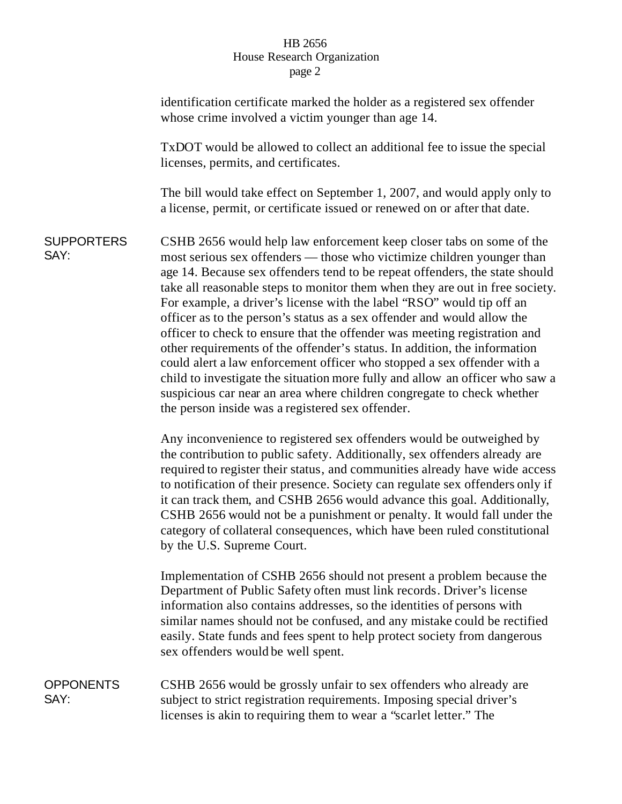## HB 2656 House Research Organization page 2

|                           | identification certificate marked the holder as a registered sex offender<br>whose crime involved a victim younger than age 14.                                                                                                                                                                                                                                                                                                                                                                                                                                                                                                                                                                                                                                                                                                                                                                                      |  |  |
|---------------------------|----------------------------------------------------------------------------------------------------------------------------------------------------------------------------------------------------------------------------------------------------------------------------------------------------------------------------------------------------------------------------------------------------------------------------------------------------------------------------------------------------------------------------------------------------------------------------------------------------------------------------------------------------------------------------------------------------------------------------------------------------------------------------------------------------------------------------------------------------------------------------------------------------------------------|--|--|
|                           | TxDOT would be allowed to collect an additional fee to issue the special<br>licenses, permits, and certificates.                                                                                                                                                                                                                                                                                                                                                                                                                                                                                                                                                                                                                                                                                                                                                                                                     |  |  |
|                           | The bill would take effect on September 1, 2007, and would apply only to<br>a license, permit, or certificate issued or renewed on or after that date.                                                                                                                                                                                                                                                                                                                                                                                                                                                                                                                                                                                                                                                                                                                                                               |  |  |
| <b>SUPPORTERS</b><br>SAY: | CSHB 2656 would help law enforcement keep closer tabs on some of the<br>most serious sex offenders — those who victimize children younger than<br>age 14. Because sex offenders tend to be repeat offenders, the state should<br>take all reasonable steps to monitor them when they are out in free society.<br>For example, a driver's license with the label "RSO" would tip off an<br>officer as to the person's status as a sex offender and would allow the<br>officer to check to ensure that the offender was meeting registration and<br>other requirements of the offender's status. In addition, the information<br>could alert a law enforcement officer who stopped a sex offender with a<br>child to investigate the situation more fully and allow an officer who saw a<br>suspicious car near an area where children congregate to check whether<br>the person inside was a registered sex offender. |  |  |
|                           | Any inconvenience to registered sex offenders would be outweighed by<br>the contribution to public safety. Additionally, sex offenders already are<br>required to register their status, and communities already have wide access<br>to notification of their presence. Society can regulate sex offenders only if<br>it can track them, and CSHB 2656 would advance this goal. Additionally,<br>CSHB 2656 would not be a punishment or penalty. It would fall under the<br>category of collateral consequences, which have been ruled constitutional<br>by the U.S. Supreme Court.                                                                                                                                                                                                                                                                                                                                  |  |  |
|                           | Implementation of CSHB 2656 should not present a problem because the<br>Department of Public Safety often must link records. Driver's license<br>information also contains addresses, so the identities of persons with<br>similar names should not be confused, and any mistake could be rectified<br>easily. State funds and fees spent to help protect society from dangerous<br>sex offenders would be well spent.                                                                                                                                                                                                                                                                                                                                                                                                                                                                                               |  |  |
| <b>OPPONENTS</b><br>SAY:  | CSHB 2656 would be grossly unfair to sex offenders who already are<br>subject to strict registration requirements. Imposing special driver's<br>licenses is akin to requiring them to wear a "scarlet letter." The                                                                                                                                                                                                                                                                                                                                                                                                                                                                                                                                                                                                                                                                                                   |  |  |